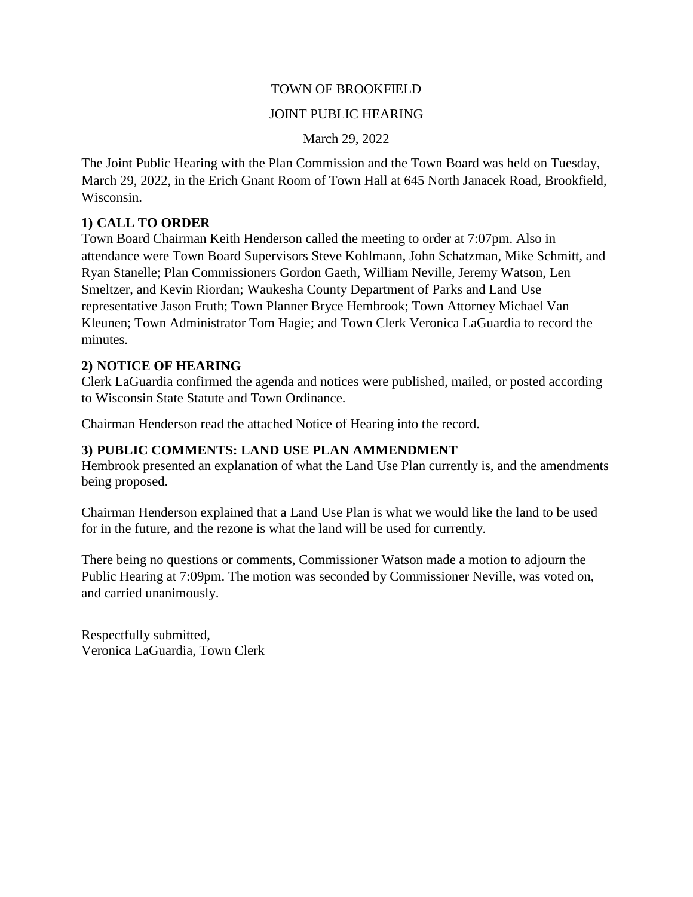### TOWN OF BROOKFIELD

### JOINT PUBLIC HEARING

March 29, 2022

The Joint Public Hearing with the Plan Commission and the Town Board was held on Tuesday, March 29, 2022, in the Erich Gnant Room of Town Hall at 645 North Janacek Road, Brookfield, Wisconsin.

# **1) CALL TO ORDER**

Town Board Chairman Keith Henderson called the meeting to order at 7:07pm. Also in attendance were Town Board Supervisors Steve Kohlmann, John Schatzman, Mike Schmitt, and Ryan Stanelle; Plan Commissioners Gordon Gaeth, William Neville, Jeremy Watson, Len Smeltzer, and Kevin Riordan; Waukesha County Department of Parks and Land Use representative Jason Fruth; Town Planner Bryce Hembrook; Town Attorney Michael Van Kleunen; Town Administrator Tom Hagie; and Town Clerk Veronica LaGuardia to record the minutes.

### **2) NOTICE OF HEARING**

Clerk LaGuardia confirmed the agenda and notices were published, mailed, or posted according to Wisconsin State Statute and Town Ordinance.

Chairman Henderson read the attached Notice of Hearing into the record.

# **3) PUBLIC COMMENTS: LAND USE PLAN AMMENDMENT**

Hembrook presented an explanation of what the Land Use Plan currently is, and the amendments being proposed.

Chairman Henderson explained that a Land Use Plan is what we would like the land to be used for in the future, and the rezone is what the land will be used for currently.

There being no questions or comments, Commissioner Watson made a motion to adjourn the Public Hearing at 7:09pm. The motion was seconded by Commissioner Neville, was voted on, and carried unanimously.

Respectfully submitted, Veronica LaGuardia, Town Clerk